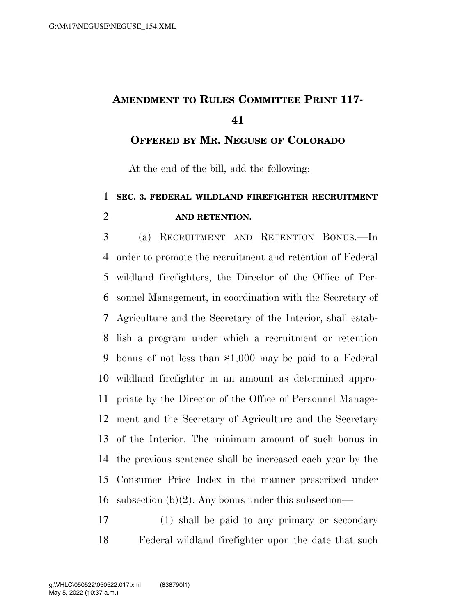## **AMENDMENT TO RULES COMMITTEE PRINT 117-**

**OFFERED BY MR. NEGUSE OF COLORADO**

At the end of the bill, add the following:

## **SEC. 3. FEDERAL WILDLAND FIREFIGHTER RECRUITMENT AND RETENTION.**

 (a) RECRUITMENT AND RETENTION BONUS.—In order to promote the recruitment and retention of Federal wildland firefighters, the Director of the Office of Per- sonnel Management, in coordination with the Secretary of Agriculture and the Secretary of the Interior, shall estab- lish a program under which a recruitment or retention bonus of not less than \$1,000 may be paid to a Federal wildland firefighter in an amount as determined appro- priate by the Director of the Office of Personnel Manage- ment and the Secretary of Agriculture and the Secretary of the Interior. The minimum amount of such bonus in the previous sentence shall be increased each year by the Consumer Price Index in the manner prescribed under 16 subsection  $(b)(2)$ . Any bonus under this subsection—

 (1) shall be paid to any primary or secondary Federal wildland firefighter upon the date that such